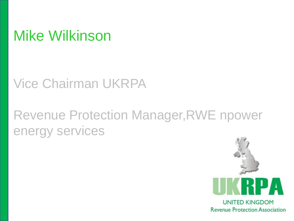### Mike Wilkinson

### Vice Chairman UKRPA

### Revenue Protection Manager,RWE npower energy services

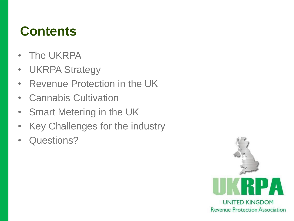### **Contents**

- The UKRPA
- UKRPA Strategy
- Revenue Protection in the UK
- Cannabis Cultivation
- Smart Metering in the UK
- Key Challenges for the industry
- Questions?

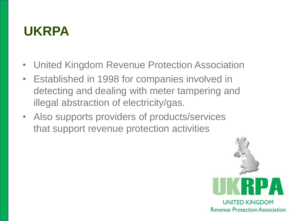#### **UKRPA**

- United Kingdom Revenue Protection Association
- Established in 1998 for companies involved in detecting and dealing with meter tampering and illegal abstraction of electricity/gas.
- Also supports providers of products/services that support revenue protection activities

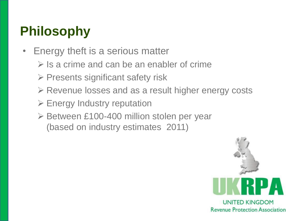## **Philosophy**

- Energy theft is a serious matter
	- $\triangleright$  Is a crime and can be an enabler of crime
	- $\triangleright$  Presents significant safety risk
	- $\triangleright$  Revenue losses and as a result higher energy costs
	- $\triangleright$  Energy Industry reputation
	- $\triangleright$  Between £100-400 million stolen per year (based on industry estimates 2011)

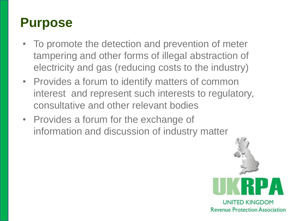#### **Purpose**

- To promote the detection and prevention of meter tampering and other forms of illegal abstraction of electricity and gas (reducing costs to the industry)
- Provides a forum to identify matters of common interest and represent such interests to regulatory, consultative and other relevant bodies
- Provides a forum for the exchange of information and discussion of industry matter

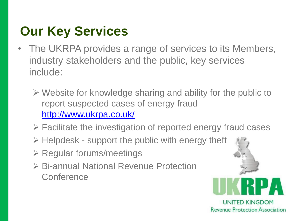### **Our Key Services**

- The UKRPA provides a range of services to its Members, industry stakeholders and the public, key services include:
	- $\triangleright$  Website for knowledge sharing and ability for the public to report suspected cases of energy fraud <http://www.ukrpa.co.uk/>
	- $\triangleright$  Facilitate the investigation of reported energy fraud cases
	- $\triangleright$  Helpdesk support the public with energy theft
	- $\triangleright$  Regular forums/meetings
	- **≻ Bi-annual National Revenue Protection Conference**

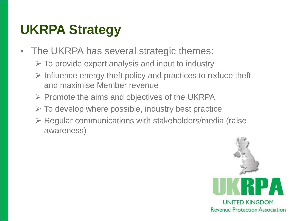### **UKRPA Strategy**

- The UKRPA has several strategic themes:
	- $\triangleright$  To provide expert analysis and input to industry
	- $\triangleright$  Influence energy theft policy and practices to reduce theft and maximise Member revenue
	- $\triangleright$  Promote the aims and objectives of the UKRPA
	- $\triangleright$  To develop where possible, industry best practice
	- $\triangleright$  Regular communications with stakeholders/media (raise awareness)

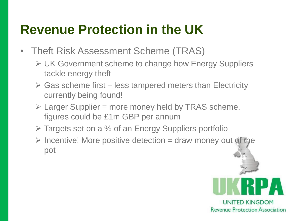#### **Revenue Protection in the UK**

- Theft Risk Assessment Scheme (TRAS)
	- UK Government scheme to change how Energy Suppliers tackle energy theft
	- $\triangleright$  Gas scheme first less tampered meters than Electricity currently being found!
	- $\triangleright$  Larger Supplier = more money held by TRAS scheme, figures could be £1m GBP per annum
	- Targets set on a % of an Energy Suppliers portfolio
	- $\triangleright$  Incentive! More positive detection = draw money out of the pot

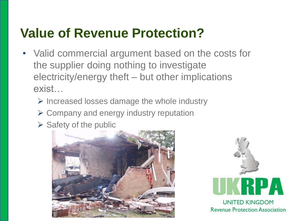#### **Value of Revenue Protection?**

- Valid commercial argument based on the costs for the supplier doing nothing to investigate electricity/energy theft – but other implications exist…
	- $\triangleright$  Increased losses damage the whole industry
	- **≻ Company and energy industry reputation**
	- $\triangleright$  Safety of the public



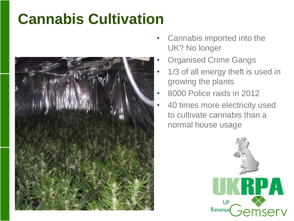# **Cannabis Cultivation**



- Cannabis imported into the UK? No longer
- Organised Crime Gangs
- 1/3 of all energy theft is used in growing the plants
- 8000 Police raids in 2012
- 40 times more electricity used to cultivate cannabis than a normal house usage

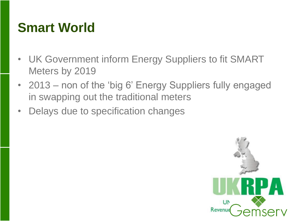### **Smart World**

- UK Government inform Energy Suppliers to fit SMART Meters by 2019
- 2013 non of the 'big 6' Energy Suppliers fully engaged in swapping out the traditional meters
- Delays due to specification changes

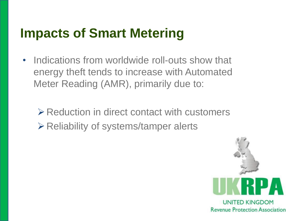#### **Impacts of Smart Metering**

• Indications from worldwide roll-outs show that energy theft tends to increase with Automated Meter Reading (AMR), primarily due to:

**Example 2 Reduction in direct contact with customers** Reliability of systems/tamper alerts

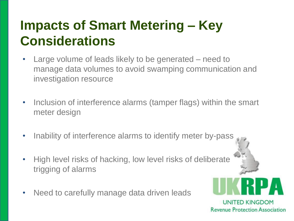#### **Impacts of Smart Metering – Key Considerations**

- Large volume of leads likely to be generated need to manage data volumes to avoid swamping communication and investigation resource
- Inclusion of interference alarms (tamper flags) within the smart meter design
- Inability of interference alarms to identify meter by-pass
- High level risks of hacking, low level risks of deliberate trigging of alarms
- Need to carefully manage data driven leads

**UNITED KINGDOM Revenue Protection Association**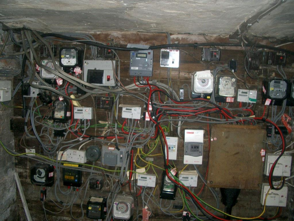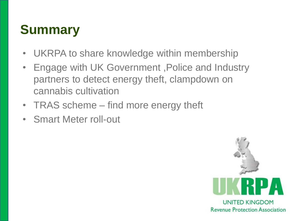## **Summary**

- UKRPA to share knowledge within membership
- Engage with UK Government ,Police and Industry partners to detect energy theft, clampdown on cannabis cultivation
- TRAS scheme find more energy theft
- Smart Meter roll-out